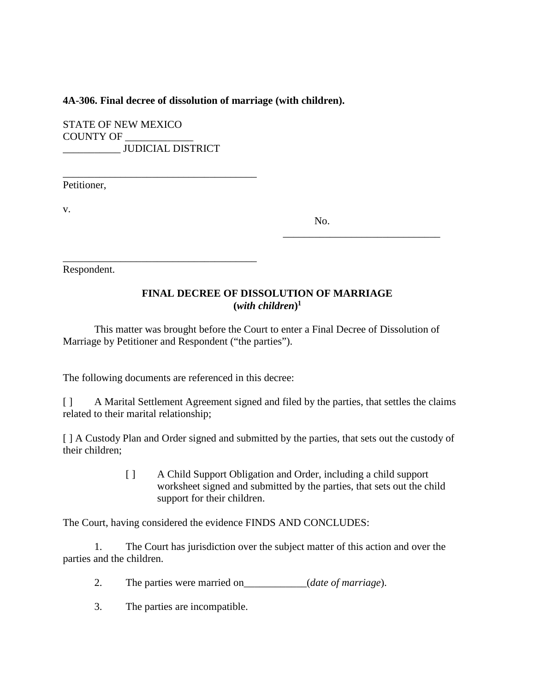### **4A-306. Final decree of dissolution of marriage (with children).**

STATE OF NEW MEXICO COUNTY OF \_\_\_\_\_\_\_\_\_\_\_\_\_ \_\_\_\_\_\_\_\_\_\_\_ JUDICIAL DISTRICT

\_\_\_\_\_\_\_\_\_\_\_\_\_\_\_\_\_\_\_\_\_\_\_\_\_\_\_\_\_\_\_\_\_\_\_\_\_ Petitioner,

v.

No.

\_\_\_\_\_\_\_\_\_\_\_\_\_\_\_\_\_\_\_\_\_\_\_\_\_\_\_\_\_\_

Respondent.

# **FINAL DECREE OF DISSOLUTION OF MARRIAGE**  $(with$  *children* $)^1$

This matter was brought before the Court to enter a Final Decree of Dissolution of Marriage by Petitioner and Respondent ("the parties").

The following documents are referenced in this decree:

\_\_\_\_\_\_\_\_\_\_\_\_\_\_\_\_\_\_\_\_\_\_\_\_\_\_\_\_\_\_\_\_\_\_\_\_\_

[ ] A Marital Settlement Agreement signed and filed by the parties, that settles the claims related to their marital relationship;

[ ] A Custody Plan and Order signed and submitted by the parties, that sets out the custody of their children;

> [ ] A Child Support Obligation and Order, including a child support worksheet signed and submitted by the parties, that sets out the child support for their children.

The Court, having considered the evidence FINDS AND CONCLUDES:

1. The Court has jurisdiction over the subject matter of this action and over the parties and the children.

- 2. The parties were married on\_\_\_\_\_\_\_\_\_\_\_\_(*date of marriage*).
- 3. The parties are incompatible.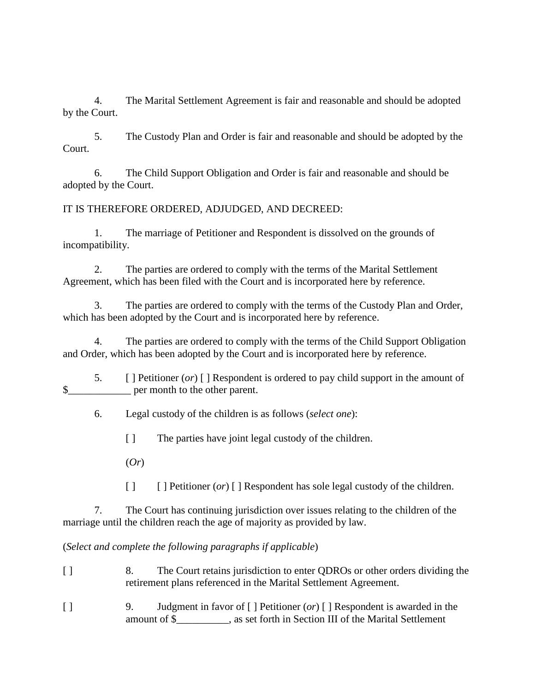4. The Marital Settlement Agreement is fair and reasonable and should be adopted by the Court.

5. The Custody Plan and Order is fair and reasonable and should be adopted by the Court.

6. The Child Support Obligation and Order is fair and reasonable and should be adopted by the Court.

## IT IS THEREFORE ORDERED, ADJUDGED, AND DECREED:

1. The marriage of Petitioner and Respondent is dissolved on the grounds of incompatibility.

2. The parties are ordered to comply with the terms of the Marital Settlement Agreement, which has been filed with the Court and is incorporated here by reference.

3. The parties are ordered to comply with the terms of the Custody Plan and Order, which has been adopted by the Court and is incorporated here by reference.

4. The parties are ordered to comply with the terms of the Child Support Obligation and Order, which has been adopted by the Court and is incorporated here by reference.

5. [ ] Petitioner (*or*) [ ] Respondent is ordered to pay child support in the amount of \$\_\_\_\_\_\_\_\_\_\_\_\_ per month to the other parent.

6. Legal custody of the children is as follows (*select one*):

[ ] The parties have joint legal custody of the children.

(*Or*)

[ ] [ ] Petitioner (*or*) [ ] Respondent has sole legal custody of the children.

7. The Court has continuing jurisdiction over issues relating to the children of the marriage until the children reach the age of majority as provided by law.

(*Select and complete the following paragraphs if applicable*)

- [ ] 8. The Court retains jurisdiction to enter QDROs or other orders dividing the retirement plans referenced in the Marital Settlement Agreement.
- [ ] 9. Judgment in favor of [ ] Petitioner (*or*) [ ] Respondent is awarded in the amount of \$\_\_\_\_\_\_\_\_\_\_, as set forth in Section III of the Marital Settlement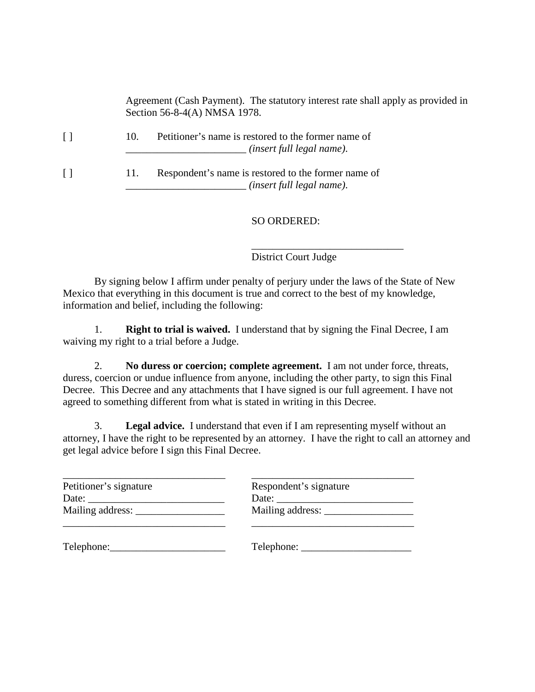Agreement (Cash Payment). The statutory interest rate shall apply as provided in Section 56-8-4(A) NMSA 1978.

|  | Petitioner's name is restored to the former name of |
|--|-----------------------------------------------------|
|  | . (insert full legal name).                         |
|  |                                                     |

|  | Respondent's name is restored to the former name of |
|--|-----------------------------------------------------|
|  | <i>(insert full legal name).</i>                    |

## SO ORDERED:

District Court Judge

\_\_\_\_\_\_\_\_\_\_\_\_\_\_\_\_\_\_\_\_\_\_\_\_\_\_\_\_\_

By signing below I affirm under penalty of perjury under the laws of the State of New Mexico that everything in this document is true and correct to the best of my knowledge, information and belief, including the following:

1. **Right to trial is waived.** I understand that by signing the Final Decree, I am waiving my right to a trial before a Judge.

2. **No duress or coercion; complete agreement.** I am not under force, threats, duress, coercion or undue influence from anyone, including the other party, to sign this Final Decree. This Decree and any attachments that I have signed is our full agreement. I have not agreed to something different from what is stated in writing in this Decree.

3. **Legal advice.** I understand that even if I am representing myself without an attorney, I have the right to be represented by an attorney. I have the right to call an attorney and get legal advice before I sign this Final Decree.

| Petitioner's signature | Respondent's signature |
|------------------------|------------------------|
|                        |                        |
| Mailing address:       | Mailing address:       |
|                        |                        |
| Telephone:             |                        |